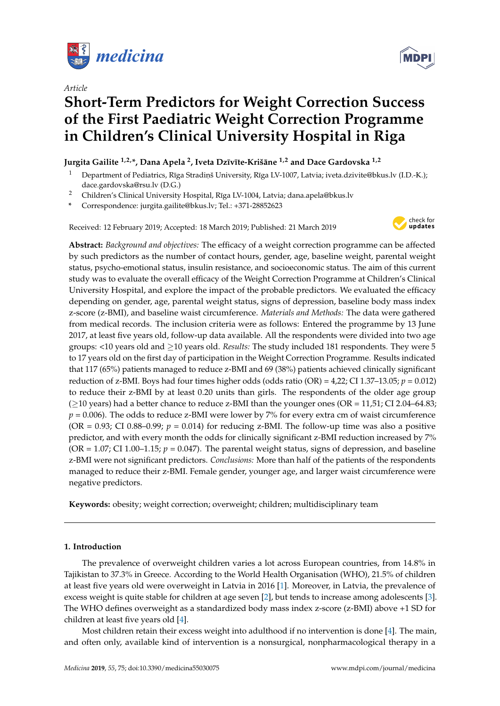

*Article*

# **Short-Term Predictors for Weight Correction Success of the First Paediatric Weight Correction Programme in Children's Clinical University Hospital in Riga**

# **Jurgita Gailite 1,2,\*, Dana Apela <sup>2</sup> , Iveta Dz¯ıv¯ıte-Krišane ¯ 1,2 and Dace Gardovska 1,2**

- Department of Pediatrics, Rīga Stradiņš University, Rīga LV-1007, Latvia; iveta.dzivite@bkus.lv (I.D.-K.); dace.gardovska@rsu.lv (D.G.)
- <sup>2</sup> Children's Clinical University Hospital, Rīga LV-1004, Latvia; dana.apela@bkus.lv

**\*** Correspondence: jurgita.gailite@bkus.lv; Tel.: +371-28852623

Received: 12 February 2019; Accepted: 18 March 2019; Published: 21 March 2019



**Abstract:** *Background and objectives:* The efficacy of a weight correction programme can be affected by such predictors as the number of contact hours, gender, age, baseline weight, parental weight status, psycho-emotional status, insulin resistance, and socioeconomic status. The aim of this current study was to evaluate the overall efficacy of the Weight Correction Programme at Children's Clinical University Hospital, and explore the impact of the probable predictors. We evaluated the efficacy depending on gender, age, parental weight status, signs of depression, baseline body mass index z-score (z-BMI), and baseline waist circumference. *Materials and Methods:* The data were gathered from medical records. The inclusion criteria were as follows: Entered the programme by 13 June 2017, at least five years old, follow-up data available. All the respondents were divided into two age groups: <10 years old and ≥10 years old. *Results:* The study included 181 respondents. They were 5 to 17 years old on the first day of participation in the Weight Correction Programme. Results indicated that 117 (65%) patients managed to reduce z-BMI and 69 (38%) patients achieved clinically significant reduction of z-BMI. Boys had four times higher odds (odds ratio  $(OR) = 4,22$ ; CI 1.37–13.05;  $p = 0.012$ ) to reduce their z-BMI by at least 0.20 units than girls. The respondents of the older age group  $(≥10$  years) had a better chance to reduce z-BMI than the younger ones (OR = 11,51; CI 2.04–64.83;  $p = 0.006$ ). The odds to reduce z-BMI were lower by 7% for every extra cm of waist circumference (OR =  $0.93$ ; CI 0.88–0.99;  $p = 0.014$ ) for reducing z-BMI. The follow-up time was also a positive predictor, and with every month the odds for clinically significant z-BMI reduction increased by 7% ( $OR = 1.07$ ; CI 1.00–1.15;  $p = 0.047$ ). The parental weight status, signs of depression, and baseline z-BMI were not significant predictors. *Conclusions:* More than half of the patients of the respondents managed to reduce their z-BMI. Female gender, younger age, and larger waist circumference were negative predictors.

**Keywords:** obesity; weight correction; overweight; children; multidisciplinary team

# **1. Introduction**

The prevalence of overweight children varies a lot across European countries, from 14.8% in Tajikistan to 37.3% in Greece. According to the World Health Organisation (WHO), 21.5% of children at least five years old were overweight in Latvia in 2016 [\[1\]](#page-6-0). Moreover, in Latvia, the prevalence of excess weight is quite stable for children at age seven [\[2\]](#page-6-1), but tends to increase among adolescents [\[3\]](#page-6-2). The WHO defines overweight as a standardized body mass index z-score (z-BMI) above +1 SD for children at least five years old [\[4\]](#page-6-3).

Most children retain their excess weight into adulthood if no intervention is done [\[4\]](#page-6-3). The main, and often only, available kind of intervention is a nonsurgical, nonpharmacological therapy in a

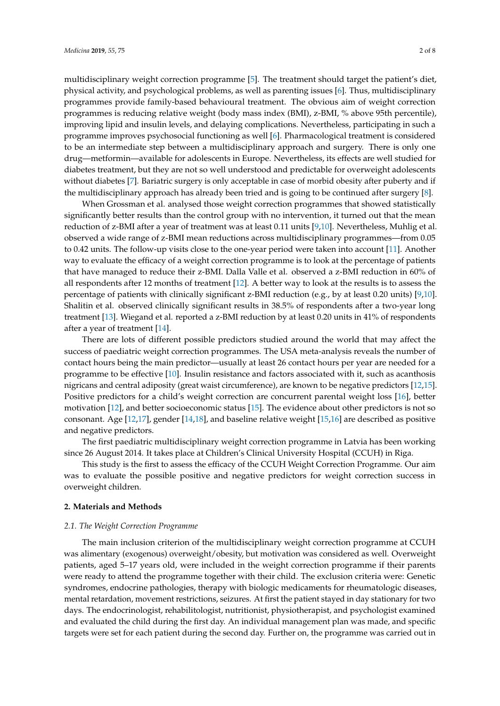multidisciplinary weight correction programme [\[5\]](#page-6-4). The treatment should target the patient's diet, physical activity, and psychological problems, as well as parenting issues [\[6\]](#page-6-5). Thus, multidisciplinary programmes provide family-based behavioural treatment. The obvious aim of weight correction programmes is reducing relative weight (body mass index (BMI), z-BMI, % above 95th percentile), improving lipid and insulin levels, and delaying complications. Nevertheless, participating in such a programme improves psychosocial functioning as well [\[6\]](#page-6-5). Pharmacological treatment is considered to be an intermediate step between a multidisciplinary approach and surgery. There is only one drug—metformin—available for adolescents in Europe. Nevertheless, its effects are well studied for diabetes treatment, but they are not so well understood and predictable for overweight adolescents without diabetes [\[7\]](#page-6-6). Bariatric surgery is only acceptable in case of morbid obesity after puberty and if the multidisciplinary approach has already been tried and is going to be continued after surgery [\[8\]](#page-6-7).

When Grossman et al. analysed those weight correction programmes that showed statistically significantly better results than the control group with no intervention, it turned out that the mean reduction of z-BMI after a year of treatment was at least 0.11 units [\[9,](#page-6-8)[10\]](#page-6-9). Nevertheless, Muhlig et al. observed a wide range of z-BMI mean reductions across multidisciplinary programmes—from 0.05 to 0.42 units. The follow-up visits close to the one-year period were taken into account [\[11\]](#page-6-10). Another way to evaluate the efficacy of a weight correction programme is to look at the percentage of patients that have managed to reduce their z-BMI. Dalla Valle et al. observed a z-BMI reduction in 60% of all respondents after 12 months of treatment [\[12\]](#page-6-11). A better way to look at the results is to assess the percentage of patients with clinically significant z-BMI reduction (e.g., by at least 0.20 units) [\[9,](#page-6-8)[10\]](#page-6-9). Shalitin et al. observed clinically significant results in 38.5% of respondents after a two-year long treatment [\[13\]](#page-6-12). Wiegand et al. reported a z-BMI reduction by at least 0.20 units in 41% of respondents after a year of treatment [\[14\]](#page-6-13).

There are lots of different possible predictors studied around the world that may affect the success of paediatric weight correction programmes. The USA meta-analysis reveals the number of contact hours being the main predictor—usually at least 26 contact hours per year are needed for a programme to be effective [\[10\]](#page-6-9). Insulin resistance and factors associated with it, such as acanthosis nigricans and central adiposity (great waist circumference), are known to be negative predictors [\[12](#page-6-11)[,15\]](#page-6-14). Positive predictors for a child's weight correction are concurrent parental weight loss [\[16\]](#page-7-0), better motivation [\[12\]](#page-6-11), and better socioeconomic status [\[15\]](#page-6-14). The evidence about other predictors is not so consonant. Age [\[12](#page-6-11)[,17\]](#page-7-1), gender [\[14,](#page-6-13)[18\]](#page-7-2), and baseline relative weight [\[15](#page-6-14)[,16\]](#page-7-0) are described as positive and negative predictors.

The first paediatric multidisciplinary weight correction programme in Latvia has been working since 26 August 2014. It takes place at Children's Clinical University Hospital (CCUH) in Riga.

This study is the first to assess the efficacy of the CCUH Weight Correction Programme. Our aim was to evaluate the possible positive and negative predictors for weight correction success in overweight children.

## **2. Materials and Methods**

#### *2.1. The Weight Correction Programme*

The main inclusion criterion of the multidisciplinary weight correction programme at CCUH was alimentary (exogenous) overweight/obesity, but motivation was considered as well. Overweight patients, aged 5–17 years old, were included in the weight correction programme if their parents were ready to attend the programme together with their child. The exclusion criteria were: Genetic syndromes, endocrine pathologies, therapy with biologic medicaments for rheumatologic diseases, mental retardation, movement restrictions, seizures. At first the patient stayed in day stationary for two days. The endocrinologist, rehabilitologist, nutritionist, physiotherapist, and psychologist examined and evaluated the child during the first day. An individual management plan was made, and specific targets were set for each patient during the second day. Further on, the programme was carried out in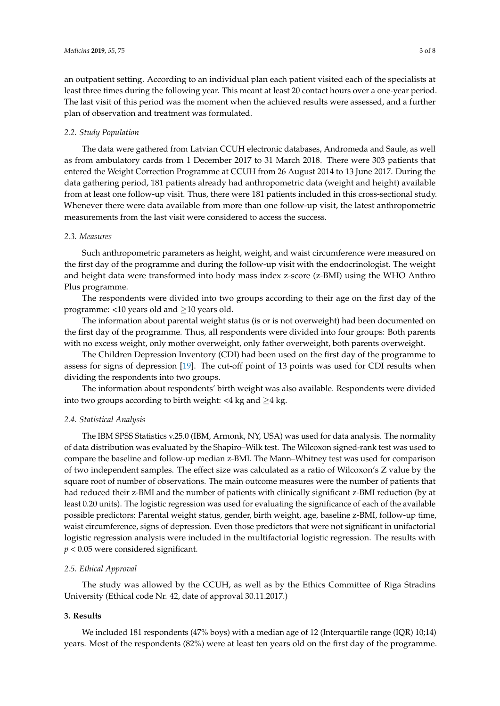an outpatient setting. According to an individual plan each patient visited each of the specialists at least three times during the following year. This meant at least 20 contact hours over a one-year period. The last visit of this period was the moment when the achieved results were assessed, and a further plan of observation and treatment was formulated.

#### *2.2. Study Population*

The data were gathered from Latvian CCUH electronic databases, Andromeda and Saule, as well as from ambulatory cards from 1 December 2017 to 31 March 2018. There were 303 patients that entered the Weight Correction Programme at CCUH from 26 August 2014 to 13 June 2017. During the data gathering period, 181 patients already had anthropometric data (weight and height) available from at least one follow-up visit. Thus, there were 181 patients included in this cross-sectional study. Whenever there were data available from more than one follow-up visit, the latest anthropometric measurements from the last visit were considered to access the success.

### *2.3. Measures*

Such anthropometric parameters as height, weight, and waist circumference were measured on the first day of the programme and during the follow-up visit with the endocrinologist. The weight and height data were transformed into body mass index z-score (z-BMI) using the WHO Anthro Plus programme.

The respondents were divided into two groups according to their age on the first day of the programme: <10 years old and  $\geq$ 10 years old.

The information about parental weight status (is or is not overweight) had been documented on the first day of the programme. Thus, all respondents were divided into four groups: Both parents with no excess weight, only mother overweight, only father overweight, both parents overweight.

The Children Depression Inventory (CDI) had been used on the first day of the programme to assess for signs of depression [\[19\]](#page-7-3). The cut-off point of 13 points was used for CDI results when dividing the respondents into two groups.

The information about respondents' birth weight was also available. Respondents were divided into two groups according to birth weight: <4 kg and  $\geq$ 4 kg.

# *2.4. Statistical Analysis*

The IBM SPSS Statistics v.25.0 (IBM, Armonk, NY, USA) was used for data analysis. The normality of data distribution was evaluated by the Shapiro–Wilk test. The Wilcoxon signed-rank test was used to compare the baseline and follow-up median z-BMI. The Mann–Whitney test was used for comparison of two independent samples. The effect size was calculated as a ratio of Wilcoxon's Z value by the square root of number of observations. The main outcome measures were the number of patients that had reduced their z-BMI and the number of patients with clinically significant z-BMI reduction (by at least 0.20 units). The logistic regression was used for evaluating the significance of each of the available possible predictors: Parental weight status, gender, birth weight, age, baseline z-BMI, follow-up time, waist circumference, signs of depression. Even those predictors that were not significant in unifactorial logistic regression analysis were included in the multifactorial logistic regression. The results with *p* < 0.05 were considered significant.

# *2.5. Ethical Approval*

The study was allowed by the CCUH, as well as by the Ethics Committee of Riga Stradins University (Ethical code Nr. 42, date of approval 30.11.2017.)

#### **3. Results**

We included 181 respondents (47% boys) with a median age of 12 (Interquartile range (IQR) 10;14) years. Most of the respondents (82%) were at least ten years old on the first day of the programme.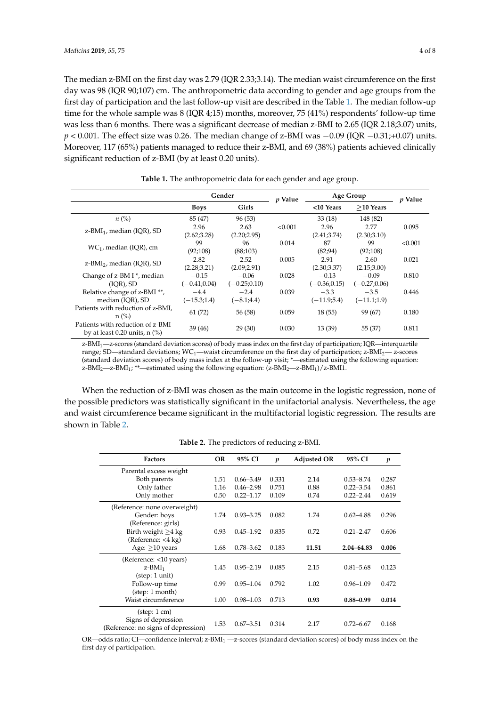The median z-BMI on the first day was 2.79 (IQR 2.33;3.14). The median waist circumference on the first day was 98 (IQR 90;107) cm. The anthropometric data according to gender and age groups from the first day of participation and the last follow-up visit are described in the Table [1.](#page-3-0) The median follow-up time for the whole sample was 8 (IQR 4;15) months, moreover, 75 (41%) respondents' follow-up time was less than 6 months. There was a significant decrease of median z-BMI to 2.65 (IQR 2.18;3.07) units, *p* < 0.001. The effect size was 0.26. The median change of z-BMI was −0.09 (IQR −0.31;+0.07) units. Moreover, 117 (65%) patients managed to reduce their z-BMI, and 69 (38%) patients achieved clinically significant reduction of z-BMI (by at least 0.20 units).

<span id="page-3-0"></span>

|                                                                               | Gender          |                | <i>v</i> Value | Age Group       |                | <i>v</i> Value |
|-------------------------------------------------------------------------------|-----------------|----------------|----------------|-----------------|----------------|----------------|
|                                                                               | <b>Boys</b>     | Girls          |                | <10 Years       | $>10$ Years    |                |
| $n\left(\%\right)$                                                            | 85 (47)         | 96 (53)        |                | 33(18)          | 148 (82)       |                |
| z-BMI <sub>1</sub> , median (IQR), SD                                         | 2.96            | 2.63           | < 0.001        | 2.96            | 2.77           | 0.095          |
|                                                                               | (2.62; 3.28)    | (2.20;2.95)    |                | (2.41; 3.74)    | (2.30;3.10)    |                |
| $WC_1$ , median (IOR), cm                                                     | 99              | 96             | 0.014          | 87              | 99             | < 0.001        |
|                                                                               | (92;108)        | (88;103)       |                | (82; 94)        | (92;108)       |                |
| $z$ -BMI <sub>2</sub> , median (IOR), SD                                      | 2.82            | 2.52           | 0.005          | 2.91            | 2.60           | 0.021          |
|                                                                               | (2.28; 3.21)    | (2.09;2.91)    |                | (2.30; 3.37)    | (2.15;3.00)    |                |
| Change of z-BM I *, median                                                    | $-0.15$         | $-0.06$        | 0.028          | $-0.13$         | $-0.09$        | 0.810          |
| (IOR), SD                                                                     | $(-0.41; 0.04)$ | $(-0.25;0.10)$ |                | $(-0.36; 0.15)$ | $(-0.27;0.06)$ |                |
| Relative change of z-BMI **,                                                  | $-4.4$          | $-2.4$         | 0.039          | $-3.3$          | $-3.5$         | 0.446          |
| median (IOR), SD                                                              | $(-15.3;1.4)$   | $(-8.1; 4.4)$  |                | $(-11.9; 5.4)$  | $(-11.1;1.9)$  |                |
| Patients with reduction of z-BMI,<br>$n$ (%)                                  | 61(72)          | 56 (58)        | 0.059          | 18(55)          | 99 (67)        | 0.180          |
| Patients with reduction of z-BMI<br>by at least $0.20$ units, n $\frac{6}{6}$ | 39(46)          | 29(30)         | 0.030          | 13(39)          | 55 (37)        | 0.811          |

**Table 1.** The anthropometric data for each gender and age group.

z-BMI1—z-scores (standard deviation scores) of body mass index on the first day of participation; IQR—interquartile range; SD—standard deviations; WC<sub>1</sub>—waist circumference on the first day of participation; z-BMI<sub>2</sub>— z-scores (standard deviation scores) of body mass index at the follow-up visit; \*—estimated using the following equation: z-BMI<sub>2</sub>—z-BMI<sub>1</sub>; \*\*—estimated using the following equation:  $(z$ -BMI<sub>2</sub>—z-BMI<sub>1</sub>)/z-BMI1.

When the reduction of z-BMI was chosen as the main outcome in the logistic regression, none of the possible predictors was statistically significant in the unifactorial analysis. Nevertheless, the age and waist circumference became significant in the multifactorial logistic regression. The results are shown in Table [2.](#page-3-1)

<span id="page-3-1"></span>

| <b>Factors</b>                      | <b>OR</b> | 95% CI        | $\boldsymbol{p}$ | <b>Adjusted OR</b> | 95% CI         | p     |
|-------------------------------------|-----------|---------------|------------------|--------------------|----------------|-------|
| Parental excess weight              |           |               |                  |                    |                |       |
| Both parents                        | 1.51      | $0.66 - 3.49$ | 0.331            | 2.14               | $0.53 - 8.74$  | 0.287 |
| Only father                         | 1.16      | $0.46 - 2.98$ | 0.751            | 0.88               | $0.22 - 3.54$  | 0.861 |
| Only mother                         | 0.50      | $0.22 - 1.17$ | 0.109            | 0.74               | $0.22 - 2.44$  | 0.619 |
| (Reference: none overweight)        |           |               |                  |                    |                |       |
| Gender: boys                        | 1.74      | $0.93 - 3.25$ | 0.082            | 1.74               | $0.62 - 4.88$  | 0.296 |
| (Reference: girls)                  |           |               |                  |                    |                |       |
| Birth weight $\geq$ 4 kg            | 0.93      | $0.45 - 1.92$ | 0.835            | 0.72               | $0.21 - 2.47$  | 0.606 |
| (Reference: <4 kg)                  |           |               |                  |                    |                |       |
| Age: $>10$ years                    | 1.68      | $0.78 - 3.62$ | 0.183            | 11.51              | $2.04 - 64.83$ | 0.006 |
| (Reference: <10 years)              |           |               |                  |                    |                |       |
| $z$ -BMI <sub>1</sub>               | 1.45      | $0.95 - 2.19$ | 0.085            | 2.15               | $0.81 - 5.68$  | 0.123 |
| (step: 1 unit)                      |           |               |                  |                    |                |       |
| Follow-up time                      | 0.99      | $0.95 - 1.04$ | 0.792            | 1.02               | $0.96 - 1.09$  | 0.472 |
| (step: 1 month)                     |           |               |                  |                    |                |       |
| Waist circumference                 | 1.00      | $0.98 - 1.03$ | 0.713            | 0.93               | $0.88 - 0.99$  | 0.014 |
| $(\text{step: } 1 \text{ cm})$      |           |               |                  |                    |                |       |
| Signs of depression                 | 1.53      | $0.67 - 3.51$ | 0.314            | 2.17               | $0.72 - 6.67$  | 0.168 |
| (Reference: no signs of depression) |           |               |                  |                    |                |       |

**Table 2.** The predictors of reducing z-BMI.

OR—odds ratio; CI—confidence interval; z-BMI<sub>1</sub> —z-scores (standard deviation scores) of body mass index on the first day of participation.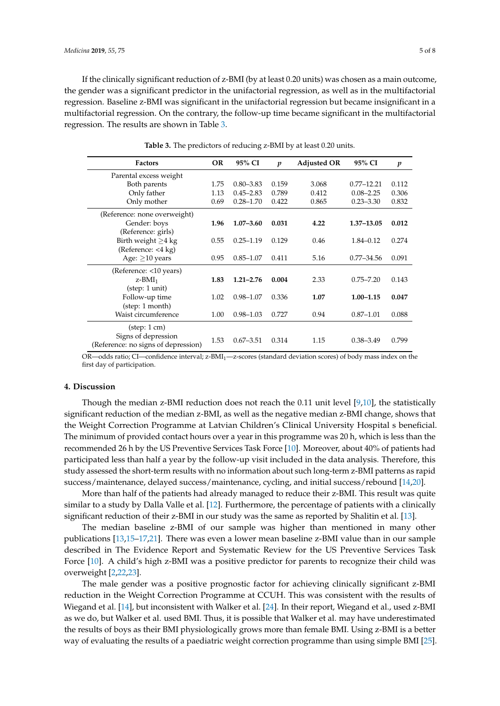If the clinically significant reduction of z-BMI (by at least 0.20 units) was chosen as a main outcome, the gender was a significant predictor in the unifactorial regression, as well as in the multifactorial regression. Baseline z-BMI was significant in the unifactorial regression but became insignificant in a multifactorial regression. On the contrary, the follow-up time became significant in the multifactorial regression. The results are shown in Table [3.](#page-4-0)

<span id="page-4-0"></span>

| <b>Factors</b>                      | <b>OR</b> | 95% CI        | $\boldsymbol{p}$ | <b>Adjusted OR</b> | 95% CI         | $\boldsymbol{p}$ |
|-------------------------------------|-----------|---------------|------------------|--------------------|----------------|------------------|
| Parental excess weight              |           |               |                  |                    |                |                  |
| Both parents                        | 1.75      | $0.80 - 3.83$ | 0.159            | 3.068              | $0.77 - 12.21$ | 0.112            |
| Only father                         | 1.13      | $0.45 - 2.83$ | 0.789            | 0.412              | $0.08 - 2.25$  | 0.306            |
| Only mother                         | 0.69      | $0.28 - 1.70$ | 0.422            | 0.865              | $0.23 - 3.30$  | 0.832            |
| (Reference: none overweight)        |           |               |                  |                    |                |                  |
| Gender: boys                        | 1.96      | $1.07 - 3.60$ | 0.031            | 4.22               | $1.37 - 13.05$ | 0.012            |
| (Reference: girls)                  |           |               |                  |                    |                |                  |
| Birth weight $\geq$ 4 kg            | 0.55      | $0.25 - 1.19$ | 0.129            | 0.46               | $1.84 - 0.12$  | 0.274            |
| (Reference: <4 kg)                  |           |               |                  |                    |                |                  |
| Age: $\geq$ 10 years                | 0.95      | $0.85 - 1.07$ | 0.411            | 5.16               | $0.77 - 34.56$ | 0.091            |
| (Reference: <10 years)              |           |               |                  |                    |                |                  |
| $z$ -BMI <sub>1</sub>               | 1.83      | $1.21 - 2.76$ | 0.004            | 2.33               | $0.75 - 7.20$  | 0.143            |
| (step: 1 unit)                      |           |               |                  |                    |                |                  |
| Follow-up time                      | 1.02      | $0.98 - 1.07$ | 0.336            | 1.07               | $1.00 - 1.15$  | 0.047            |
| (step: 1 month)                     |           |               |                  |                    |                |                  |
| Waist circumference                 | 1.00      | $0.98 - 1.03$ | 0.727            | 0.94               | $0.87 - 1.01$  | 0.088            |
| $(\text{step: } 1 \text{ cm})$      |           |               |                  |                    |                |                  |
| Signs of depression                 |           |               |                  |                    |                |                  |
| (Reference: no signs of depression) | 1.53      | $0.67 - 3.51$ | 0.314            | 1.15               | $0.38 - 3.49$  | 0.799            |

**Table 3.** The predictors of reducing z-BMI by at least 0.20 units.

OR—odds ratio; CI—confidence interval; z-BMI1—z-scores (standard deviation scores) of body mass index on the first day of participation.

# **4. Discussion**

Though the median z-BMI reduction does not reach the 0.11 unit level  $[9,10]$  $[9,10]$ , the statistically significant reduction of the median z-BMI, as well as the negative median z-BMI change, shows that the Weight Correction Programme at Latvian Children's Clinical University Hospital s beneficial. The minimum of provided contact hours over a year in this programme was 20 h, which is less than the recommended 26 h by the US Preventive Services Task Force [\[10\]](#page-6-9). Moreover, about 40% of patients had participated less than half a year by the follow-up visit included in the data analysis. Therefore, this study assessed the short-term results with no information about such long-term z-BMI patterns as rapid success/maintenance, delayed success/maintenance, cycling, and initial success/rebound [\[14](#page-6-13)[,20\]](#page-7-4).

More than half of the patients had already managed to reduce their z-BMI. This result was quite similar to a study by Dalla Valle et al. [\[12\]](#page-6-11). Furthermore, the percentage of patients with a clinically significant reduction of their z-BMI in our study was the same as reported by Shalitin et al. [\[13\]](#page-6-12).

The median baseline z-BMI of our sample was higher than mentioned in many other publications [\[13](#page-6-12)[,15](#page-6-14)[–17](#page-7-1)[,21\]](#page-7-5). There was even a lower mean baseline z-BMI value than in our sample described in The Evidence Report and Systematic Review for the US Preventive Services Task Force [\[10\]](#page-6-9). A child's high z-BMI was a positive predictor for parents to recognize their child was overweight [\[2,](#page-6-1)[22,](#page-7-6)[23\]](#page-7-7).

The male gender was a positive prognostic factor for achieving clinically significant z-BMI reduction in the Weight Correction Programme at CCUH. This was consistent with the results of Wiegand et al. [\[14\]](#page-6-13), but inconsistent with Walker et al. [\[24\]](#page-7-8). In their report, Wiegand et al., used z-BMI as we do, but Walker et al. used BMI. Thus, it is possible that Walker et al. may have underestimated the results of boys as their BMI physiologically grows more than female BMI. Using z-BMI is a better way of evaluating the results of a paediatric weight correction programme than using simple BMI [\[25\]](#page-7-9).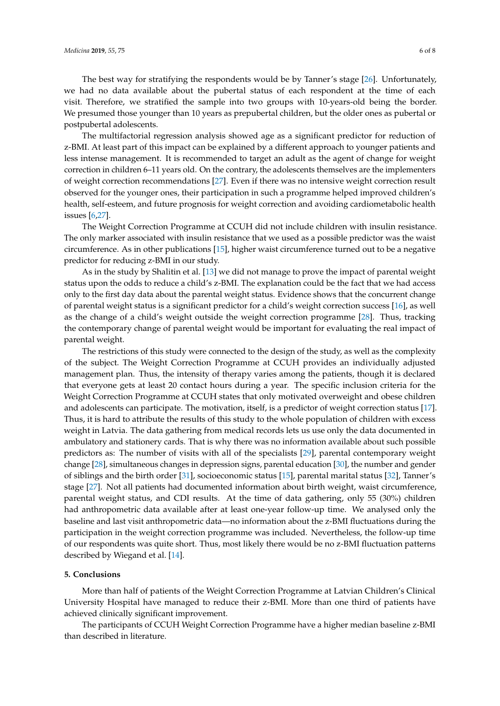The best way for stratifying the respondents would be by Tanner's stage [\[26\]](#page-7-10). Unfortunately, we had no data available about the pubertal status of each respondent at the time of each visit. Therefore, we stratified the sample into two groups with 10-years-old being the border. We presumed those younger than 10 years as prepubertal children, but the older ones as pubertal or postpubertal adolescents.

The multifactorial regression analysis showed age as a significant predictor for reduction of z-BMI. At least part of this impact can be explained by a different approach to younger patients and less intense management. It is recommended to target an adult as the agent of change for weight correction in children 6–11 years old. On the contrary, the adolescents themselves are the implementers of weight correction recommendations [\[27\]](#page-7-11). Even if there was no intensive weight correction result observed for the younger ones, their participation in such a programme helped improved children's health, self-esteem, and future prognosis for weight correction and avoiding cardiometabolic health issues [\[6,](#page-6-5)[27\]](#page-7-11).

The Weight Correction Programme at CCUH did not include children with insulin resistance. The only marker associated with insulin resistance that we used as a possible predictor was the waist circumference. As in other publications [\[15\]](#page-6-14), higher waist circumference turned out to be a negative predictor for reducing z-BMI in our study.

As in the study by Shalitin et al. [\[13\]](#page-6-12) we did not manage to prove the impact of parental weight status upon the odds to reduce a child's z-BMI. The explanation could be the fact that we had access only to the first day data about the parental weight status. Evidence shows that the concurrent change of parental weight status is a significant predictor for a child's weight correction success [\[16\]](#page-7-0), as well as the change of a child's weight outside the weight correction programme [\[28\]](#page-7-12). Thus, tracking the contemporary change of parental weight would be important for evaluating the real impact of parental weight.

The restrictions of this study were connected to the design of the study, as well as the complexity of the subject. The Weight Correction Programme at CCUH provides an individually adjusted management plan. Thus, the intensity of therapy varies among the patients, though it is declared that everyone gets at least 20 contact hours during a year. The specific inclusion criteria for the Weight Correction Programme at CCUH states that only motivated overweight and obese children and adolescents can participate. The motivation, itself, is a predictor of weight correction status [\[17\]](#page-7-1). Thus, it is hard to attribute the results of this study to the whole population of children with excess weight in Latvia. The data gathering from medical records lets us use only the data documented in ambulatory and stationery cards. That is why there was no information available about such possible predictors as: The number of visits with all of the specialists [\[29\]](#page-7-13), parental contemporary weight change [\[28\]](#page-7-12), simultaneous changes in depression signs, parental education [\[30\]](#page-7-14), the number and gender of siblings and the birth order [\[31\]](#page-7-15), socioeconomic status [\[15\]](#page-6-14), parental marital status [\[32\]](#page-7-16), Tanner's stage [\[27\]](#page-7-11). Not all patients had documented information about birth weight, waist circumference, parental weight status, and CDI results. At the time of data gathering, only 55 (30%) children had anthropometric data available after at least one-year follow-up time. We analysed only the baseline and last visit anthropometric data—no information about the z-BMI fluctuations during the participation in the weight correction programme was included. Nevertheless, the follow-up time of our respondents was quite short. Thus, most likely there would be no z-BMI fluctuation patterns described by Wiegand et al. [\[14\]](#page-6-13).

# **5. Conclusions**

More than half of patients of the Weight Correction Programme at Latvian Children's Clinical University Hospital have managed to reduce their z-BMI. More than one third of patients have achieved clinically significant improvement.

The participants of CCUH Weight Correction Programme have a higher median baseline z-BMI than described in literature.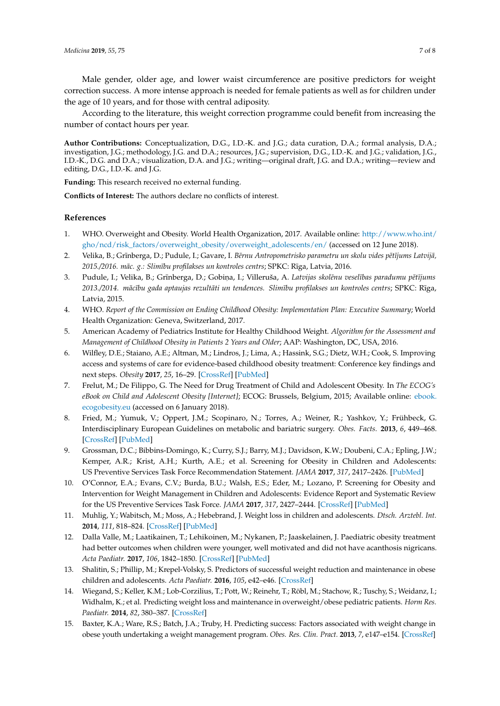Male gender, older age, and lower waist circumference are positive predictors for weight correction success. A more intense approach is needed for female patients as well as for children under the age of 10 years, and for those with central adiposity.

According to the literature, this weight correction programme could benefit from increasing the number of contact hours per year.

**Author Contributions:** Conceptualization, D.G., I.D.-K. and J.G.; data curation, D.A.; formal analysis, D.A.; investigation, J.G.; methodology, J.G. and D.A.; resources, J.G.; supervision, D.G., I.D.-K. and J.G.; validation, J.G., I.D.-K., D.G. and D.A.; visualization, D.A. and J.G.; writing—original draft, J.G. and D.A.; writing—review and editing, D.G., I.D.-K. and J.G.

**Funding:** This research received no external funding.

**Conflicts of Interest:** The authors declare no conflicts of interest.

# **References**

- <span id="page-6-0"></span>1. WHO. Overweight and Obesity. World Health Organization, 2017. Available online: [http://www.who.int/](http://www.who.int/gho/ncd/risk_factors/overweight_obesity/overweight_adolescents/en/) [gho/ncd/risk\\_factors/overweight\\_obesity/overweight\\_adolescents/en/](http://www.who.int/gho/ncd/risk_factors/overweight_obesity/overweight_adolescents/en/) (accessed on 12 June 2018).
- <span id="page-6-1"></span>2. Velika, B.; Grīnberga, D.; Pudule, I.; Gavare, I. *Bērnu Antropometrisko parametru un skolu vides pētījums Latvijā*, *2015./2016. mac. g.: Slim ¯ ¯ıbu profilakses un kontroles centrs*; SPKC: R¯ıga, Latvia, 2016.
- <span id="page-6-2"></span>3. Pudule, I.; Velika, B.; Grīnberga, D.; Gobina, I.; Villeruša, A. *Latvijas skolēnu veselības paradumu pētījums 2013./2014. mac¯ ¯ıbu gada aptaujas rezultati un tendences. Slim ¯ ¯ıbu profilakses un kontroles centrs*; SPKC: R¯ıga, Latvia, 2015.
- <span id="page-6-3"></span>4. WHO. *Report of the Commission on Ending Childhood Obesity: Implementation Plan: Executive Summary*; World Health Organization: Geneva, Switzerland, 2017.
- <span id="page-6-4"></span>5. American Academy of Pediatrics Institute for Healthy Childhood Weight. *Algorithm for the Assessment and Management of Childhood Obesity in Patients 2 Years and Older*; AAP: Washington, DC, USA, 2016.
- <span id="page-6-5"></span>6. Wilfley, D.E.; Staiano, A.E.; Altman, M.; Lindros, J.; Lima, A.; Hassink, S.G.; Dietz, W.H.; Cook, S. Improving access and systems of care for evidence-based childhood obesity treatment: Conference key findings and next steps. *Obesity* **2017**, *25*, 16–29. [\[CrossRef\]](http://dx.doi.org/10.1002/oby.21712) [\[PubMed\]](http://www.ncbi.nlm.nih.gov/pubmed/27925451)
- <span id="page-6-6"></span>7. Frelut, M.; De Filippo, G. The Need for Drug Treatment of Child and Adolescent Obesity. In *The ECOG's eBook on Child and Adolescent Obesity [Internet]*; ECOG: Brussels, Belgium, 2015; Available online: [ebook.](ebook.ecogobesity.eu) [ecogobesity.eu](ebook.ecogobesity.eu) (accessed on 6 January 2018).
- <span id="page-6-7"></span>8. Fried, M.; Yumuk, V.; Oppert, J.M.; Scopinaro, N.; Torres, A.; Weiner, R.; Yashkov, Y.; Frühbeck, G. Interdisciplinary European Guidelines on metabolic and bariatric surgery. *Obes. Facts.* **2013**, *6*, 449–468. [\[CrossRef\]](http://dx.doi.org/10.1159/000355480) [\[PubMed\]](http://www.ncbi.nlm.nih.gov/pubmed/24135948)
- <span id="page-6-8"></span>9. Grossman, D.C.; Bibbins-Domingo, K.; Curry, S.J.; Barry, M.J.; Davidson, K.W.; Doubeni, C.A.; Epling, J.W.; Kemper, A.R.; Krist, A.H.; Kurth, A.E.; et al. Screening for Obesity in Children and Adolescents: US Preventive Services Task Force Recommendation Statement. *JAMA* **2017**, *317*, 2417–2426. [\[PubMed\]](http://www.ncbi.nlm.nih.gov/pubmed/28632874)
- <span id="page-6-9"></span>10. O'Connor, E.A.; Evans, C.V.; Burda, B.U.; Walsh, E.S.; Eder, M.; Lozano, P. Screening for Obesity and Intervention for Weight Management in Children and Adolescents: Evidence Report and Systematic Review for the US Preventive Services Task Force. *JAMA* **2017**, *317*, 2427–2444. [\[CrossRef\]](http://dx.doi.org/10.1001/jama.2017.0332) [\[PubMed\]](http://www.ncbi.nlm.nih.gov/pubmed/28632873)
- <span id="page-6-10"></span>11. Muhlig, Y.; Wabitsch, M.; Moss, A.; Hebebrand, J. Weight loss in children and adolescents. *Dtsch. Arztebl. Int.* **2014**, *111*, 818–824. [\[CrossRef\]](http://dx.doi.org/10.3238/arztebl.2014.0818) [\[PubMed\]](http://www.ncbi.nlm.nih.gov/pubmed/25512008)
- <span id="page-6-11"></span>12. Dalla Valle, M.; Laatikainen, T.; Lehikoinen, M.; Nykanen, P.; Jaaskelainen, J. Paediatric obesity treatment had better outcomes when children were younger, well motivated and did not have acanthosis nigricans. *Acta Paediatr.* **2017**, *106*, 1842–1850. [\[CrossRef\]](http://dx.doi.org/10.1111/apa.13953) [\[PubMed\]](http://www.ncbi.nlm.nih.gov/pubmed/28685930)
- <span id="page-6-12"></span>13. Shalitin, S.; Phillip, M.; Krepel-Volsky, S. Predictors of successful weight reduction and maintenance in obese children and adolescents. *Acta Paediatr.* **2016**, *105*, e42–e46. [\[CrossRef\]](http://dx.doi.org/10.1111/apa.13235)
- <span id="page-6-13"></span>14. Wiegand, S.; Keller, K.M.; Lob-Corzilius, T.; Pott, W.; Reinehr, T.; Röbl, M.; Stachow, R.; Tuschy, S.; Weidanz, I.; Widhalm, K.; et al. Predicting weight loss and maintenance in overweight/obese pediatric patients. *Horm Res. Paediatr.* **2014**, *82*, 380–387. [\[CrossRef\]](http://dx.doi.org/10.1159/000368963)
- <span id="page-6-14"></span>15. Baxter, K.A.; Ware, R.S.; Batch, J.A.; Truby, H. Predicting success: Factors associated with weight change in obese youth undertaking a weight management program. *Obes. Res. Clin. Pract.* **2013**, *7*, e147–e154. [\[CrossRef\]](http://dx.doi.org/10.1016/j.orcp.2011.09.004)